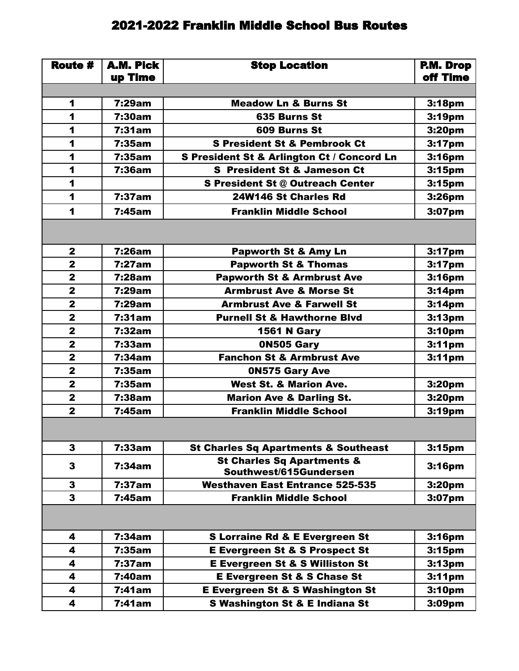## 2021-2022 Franklin Middle School Bus Routes

| Route #                 | A.M. Pick        | <b>Stop Location</b>                                            | P.M. Drop<br>off Time |
|-------------------------|------------------|-----------------------------------------------------------------|-----------------------|
|                         | up Time          |                                                                 |                       |
| 1                       | 7:29am           | <b>Meadow Ln &amp; Burns St</b>                                 | 3:18pm                |
| 1                       | 7:30am           | 635 Burns St                                                    |                       |
| 1                       | 7:31am           | 609 Burns St                                                    | 3:19pm                |
| 1                       |                  |                                                                 | 3:20pm                |
|                         | 7:35am<br>7:35am | <b>S President St &amp; Pembrook Ct</b>                         | 3:17 <sub>pm</sub>    |
| 1                       |                  | S President St & Arlington Ct / Concord Ln                      | 3:16pm                |
| 1                       | 7:36am           | <b>S</b> President St & Jameson Ct                              | 3:15 <sub>pm</sub>    |
| 1                       |                  | S President St @ Outreach Center                                | 3:15 <sub>pm</sub>    |
| $\blacktriangleleft$    | 7:37am           | 24W146 St Charles Rd                                            | 3:26pm                |
| 1                       | 7:45am           | <b>Franklin Middle School</b>                                   | 3:07pm                |
|                         |                  |                                                                 |                       |
| $\mathbf{2}$            | 7:26am           | <b>Papworth St &amp; Amy Ln</b>                                 | 3:17pm                |
| $\mathbf{2}$            | 7:27am           | <b>Papworth St &amp; Thomas</b>                                 | 3:17 <sub>pm</sub>    |
| $\mathbf{2}$            | 7:28am           | <b>Papworth St &amp; Armbrust Ave</b>                           | 3:16pm                |
| $\overline{\mathbf{2}}$ | 7:29am           | <b>Armbrust Ave &amp; Morse St</b>                              | 3:14pm                |
| $\overline{\mathbf{2}}$ | 7:29am           | <b>Armbrust Ave &amp; Farwell St</b>                            | 3:14 <sub>pm</sub>    |
| $\mathbf{2}$            | 7:31am           | <b>Purnell St &amp; Hawthorne Blvd</b>                          | 3:13 <sub>pm</sub>    |
| $\overline{\mathbf{2}}$ | 7:32am           | <b>1561 N Gary</b>                                              | 3:10pm                |
| $\overline{2}$          | 7:33am           | 0N505 Gary                                                      | 3:11 <sub>pm</sub>    |
| $\mathbf{2}$            | 7:34am           | <b>Fanchon St &amp; Armbrust Ave</b>                            | 3:11 <sub>pm</sub>    |
| $\mathbf{2}$            | 7:35am           | <b>ON575 Gary Ave</b>                                           |                       |
| $\mathbf{2}$            | 7:35am           | <b>West St. &amp; Marion Ave.</b>                               | 3:20pm                |
| $\overline{\mathbf{2}}$ | <b>7:38am</b>    | <b>Marion Ave &amp; Darling St.</b>                             | 3:20pm                |
| $\overline{\mathbf{2}}$ | 7:45am           | <b>Franklin Middle School</b>                                   | 3:19pm                |
|                         |                  |                                                                 |                       |
| 3                       | 7:33am           | <b>St Charles Sq Apartments &amp; Southeast</b>                 | 3:15 <sub>pm</sub>    |
| 3                       | 7:34am           | <b>St Charles Sq Apartments &amp;</b><br>Southwest/615Gundersen | 3:16 <sub>pm</sub>    |
| 3                       | 7:37am           | <b>Westhaven East Entrance 525-535</b>                          | 3:20pm                |
| 3                       | 7:45am           | <b>Franklin Middle School</b>                                   | 3:07pm                |
|                         |                  |                                                                 |                       |
| 4                       | 7:34am           | <b>S Lorraine Rd &amp; E Evergreen St</b>                       | 3:16pm                |
| 4                       | 7:35am           | <b>E Evergreen St &amp; S Prospect St</b>                       | 3:15 <sub>pm</sub>    |
| 4                       | 7:37am           | <b>E Evergreen St &amp; S Williston St</b>                      | 3:13 <sub>pm</sub>    |
| 4                       | 7:40am           | <b>E Evergreen St &amp; S Chase St</b>                          | 3:11 <sub>pm</sub>    |
| 4                       | 7:41am           | <b>E Evergreen St &amp; S Washington St</b>                     | 3:10pm                |
| 4                       | 7:41am           | <b>S Washington St &amp; E Indiana St</b>                       | 3:09pm                |